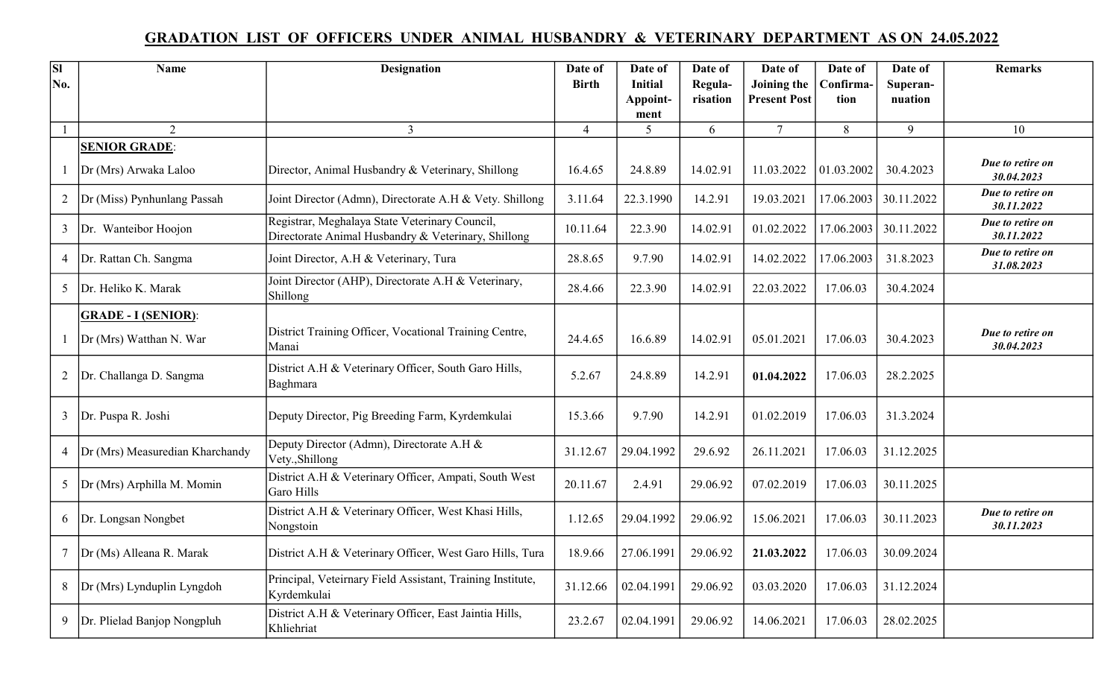## GRADATION LIST OF OFFICERS UNDER ANIMAL HUSBANDRY & VETERINARY DEPARTMENT AS ON 24.05.2022

| <b>SI</b>      | <b>Name</b>                     | <b>Designation</b>                                                                                    | Date of        | Date of        | Date of  | Date of             | Date of    | Date of    | <b>Remarks</b>                 |
|----------------|---------------------------------|-------------------------------------------------------------------------------------------------------|----------------|----------------|----------|---------------------|------------|------------|--------------------------------|
| No.            |                                 |                                                                                                       | <b>Birth</b>   | <b>Initial</b> | Regula-  | Joining the         | Confirma-  | Superan-   |                                |
|                |                                 |                                                                                                       |                | Appoint-       | risation | <b>Present Post</b> | tion       | nuation    |                                |
|                |                                 |                                                                                                       |                | ment           |          |                     |            |            |                                |
| $\mathbf{1}$   | $\overline{2}$                  | $\overline{3}$                                                                                        | $\overline{4}$ | 5              | 6        | $7\overline{ }$     | 8          | 9          | 10                             |
|                | <b>SENIOR GRADE:</b>            |                                                                                                       |                |                |          |                     |            |            |                                |
|                | Dr (Mrs) Arwaka Laloo           | Director, Animal Husbandry & Veterinary, Shillong                                                     | 16.4.65        | 24.8.89        | 14.02.91 | 11.03.2022          | 01.03.2002 | 30.4.2023  | Due to retire on<br>30.04.2023 |
| 2              | Dr (Miss) Pynhunlang Passah     | Joint Director (Admn), Directorate A.H & Vety. Shillong                                               | 3.11.64        | 22.3.1990      | 14.2.91  | 19.03.2021          | 17.06.2003 | 30.11.2022 | Due to retire on<br>30.11.2022 |
| 3              | Dr. Wanteibor Hoojon            | Registrar, Meghalaya State Veterinary Council,<br>Directorate Animal Husbandry & Veterinary, Shillong | 10.11.64       | 22.3.90        | 14.02.91 | 01.02.2022          | 17.06.2003 | 30.11.2022 | Due to retire on<br>30.11.2022 |
| 4              | Dr. Rattan Ch. Sangma           | Joint Director, A.H & Veterinary, Tura                                                                | 28.8.65        | 9.7.90         | 14.02.91 | 14.02.2022          | 17.06.2003 | 31.8.2023  | Due to retire on<br>31.08.2023 |
| 5              | Dr. Heliko K. Marak             | Joint Director (AHP), Directorate A.H & Veterinary,<br>Shillong                                       | 28.4.66        | 22.3.90        | 14.02.91 | 22.03.2022          | 17.06.03   | 30.4.2024  |                                |
|                | <b>GRADE - I (SENIOR):</b>      |                                                                                                       |                |                |          |                     |            |            |                                |
|                | Dr (Mrs) Watthan N. War         | District Training Officer, Vocational Training Centre,<br>Manai                                       | 24.4.65        | 16.6.89        | 14.02.91 | 05.01.2021          | 17.06.03   | 30.4.2023  | Due to retire on<br>30.04.2023 |
| $\overline{2}$ | Dr. Challanga D. Sangma         | District A.H & Veterinary Officer, South Garo Hills,<br>Baghmara                                      | 5.2.67         | 24.8.89        | 14.2.91  | 01.04.2022          | 17.06.03   | 28.2.2025  |                                |
| 3              | Dr. Puspa R. Joshi              | Deputy Director, Pig Breeding Farm, Kyrdemkulai                                                       | 15.3.66        | 9.7.90         | 14.2.91  | 01.02.2019          | 17.06.03   | 31.3.2024  |                                |
| 4              | Dr (Mrs) Measuredian Kharchandy | Deputy Director (Admn), Directorate A.H &<br>Vety., Shillong                                          | 31.12.67       | 29.04.1992     | 29.6.92  | 26.11.2021          | 17.06.03   | 31.12.2025 |                                |
| 5              | Dr (Mrs) Arphilla M. Momin      | District A.H & Veterinary Officer, Ampati, South West<br>Garo Hills                                   | 20.11.67       | 2.4.91         | 29.06.92 | 07.02.2019          | 17.06.03   | 30.11.2025 |                                |
| 6              | Dr. Longsan Nongbet             | District A.H & Veterinary Officer, West Khasi Hills,<br>Nongstoin                                     | 1.12.65        | 29.04.1992     | 29.06.92 | 15.06.2021          | 17.06.03   | 30.11.2023 | Due to retire on<br>30.11.2023 |
| $\tau$         | Dr (Ms) Alleana R. Marak        | District A.H & Veterinary Officer, West Garo Hills, Tura                                              | 18.9.66        | 27.06.1991     | 29.06.92 | 21.03.2022          | 17.06.03   | 30.09.2024 |                                |
| 8              | Dr (Mrs) Lynduplin Lyngdoh      | Principal, Veteirnary Field Assistant, Training Institute,<br>Kyrdemkulai                             | 31.12.66       | 02.04.1991     | 29.06.92 | 03.03.2020          | 17.06.03   | 31.12.2024 |                                |
| 9              | Dr. Plielad Banjop Nongpluh     | District A.H & Veterinary Officer, East Jaintia Hills,<br>Khliehriat                                  | 23.2.67        | 02.04.1991     | 29.06.92 | 14.06.2021          | 17.06.03   | 28.02.2025 |                                |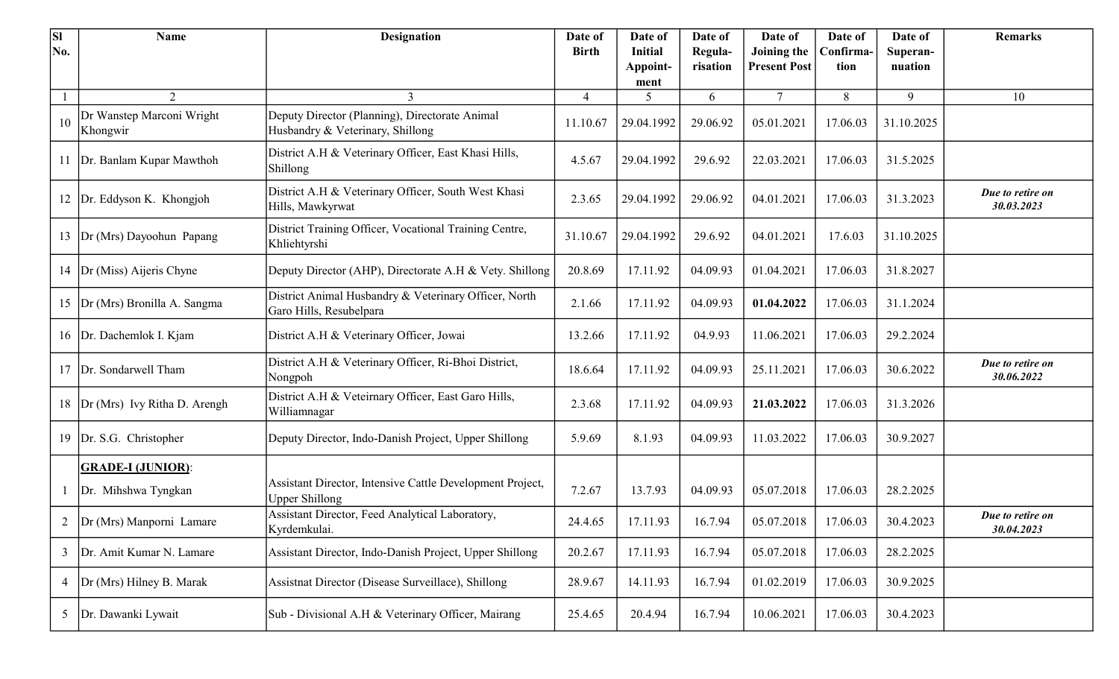| <b>SI</b><br>No. | <b>Name</b>                           | <b>Designation</b>                                                                 | Date of<br><b>Birth</b> | Date of<br>Initial | Date of<br>Regula- | Date of<br>Joining the | Date of<br>Confirma | Date of<br>Superan- | <b>Remarks</b>                 |
|------------------|---------------------------------------|------------------------------------------------------------------------------------|-------------------------|--------------------|--------------------|------------------------|---------------------|---------------------|--------------------------------|
|                  |                                       |                                                                                    |                         | Appoint-           | risation           | <b>Present Post</b>    | tion                | nuation             |                                |
|                  |                                       |                                                                                    |                         | ment               |                    |                        |                     |                     |                                |
|                  | 2                                     | $\mathfrak{Z}$                                                                     | $\overline{4}$          | 5                  | 6                  | 7                      | 8                   | 9                   | 10                             |
| 10               | Dr Wanstep Marconi Wright<br>Khongwir | Deputy Director (Planning), Directorate Animal<br>Husbandry & Veterinary, Shillong | 11.10.67                | 29.04.1992         | 29.06.92           | 05.01.2021             | 17.06.03            | 31.10.2025          |                                |
| 11               | Dr. Banlam Kupar Mawthoh              | District A.H & Veterinary Officer, East Khasi Hills,<br>Shillong                   | 4.5.67                  | 29.04.1992         | 29.6.92            | 22.03.2021             | 17.06.03            | 31.5.2025           |                                |
| 12               | Dr. Eddyson K. Khongjoh               | District A.H & Veterinary Officer, South West Khasi<br>Hills, Mawkyrwat            | 2.3.65                  | 29.04.1992         | 29.06.92           | 04.01.2021             | 17.06.03            | 31.3.2023           | Due to retire on<br>30.03.2023 |
| 13               | Dr (Mrs) Dayoohun Papang              | District Training Officer, Vocational Training Centre,<br>Khliehtyrshi             | 31.10.67                | 29.04.1992         | 29.6.92            | 04.01.2021             | 17.6.03             | 31.10.2025          |                                |
| 14               | Dr (Miss) Aijeris Chyne               | Deputy Director (AHP), Directorate A.H & Vety. Shillong                            | 20.8.69                 | 17.11.92           | 04.09.93           | 01.04.2021             | 17.06.03            | 31.8.2027           |                                |
|                  | 15  Dr (Mrs) Bronilla A. Sangma       | District Animal Husbandry & Veterinary Officer, North<br>Garo Hills, Resubelpara   | 2.1.66                  | 17.11.92           | 04.09.93           | 01.04.2022             | 17.06.03            | 31.1.2024           |                                |
|                  | 16   Dr. Dachemlok I. Kjam            | District A.H & Veterinary Officer, Jowai                                           | 13.2.66                 | 17.11.92           | 04.9.93            | 11.06.2021             | 17.06.03            | 29.2.2024           |                                |
| 17               | Dr. Sondarwell Tham                   | District A.H & Veterinary Officer, Ri-Bhoi District,<br>Nongpoh                    | 18.6.64                 | 17.11.92           | 04.09.93           | 25.11.2021             | 17.06.03            | 30.6.2022           | Due to retire on<br>30.06.2022 |
|                  | 18  Dr (Mrs) Ivy Ritha D. Arengh      | District A.H & Veteirnary Officer, East Garo Hills,<br>Williamnagar                | 2.3.68                  | 17.11.92           | 04.09.93           | 21.03.2022             | 17.06.03            | 31.3.2026           |                                |
| 19               | Dr. S.G. Christopher                  | Deputy Director, Indo-Danish Project, Upper Shillong                               | 5.9.69                  | 8.1.93             | 04.09.93           | 11.03.2022             | 17.06.03            | 30.9.2027           |                                |
|                  | <b>GRADE-I (JUNIOR):</b>              |                                                                                    |                         |                    |                    |                        |                     |                     |                                |
|                  | Dr. Mihshwa Tyngkan                   | Assistant Director, Intensive Cattle Development Project,<br><b>Upper Shillong</b> | 7.2.67                  | 13.7.93            | 04.09.93           | 05.07.2018             | 17.06.03            | 28.2.2025           |                                |
|                  | 2  Dr (Mrs) Manporni Lamare           | Assistant Director, Feed Analytical Laboratory,<br>Kyrdemkulai.                    | 24.4.65                 | 17.11.93           | 16.7.94            | 05.07.2018             | 17.06.03            | 30.4.2023           | Due to retire on<br>30.04.2023 |
| $\mathfrak{Z}$   | Dr. Amit Kumar N. Lamare              | Assistant Director, Indo-Danish Project, Upper Shillong                            | 20.2.67                 | 17.11.93           | 16.7.94            | 05.07.2018             | 17.06.03            | 28.2.2025           |                                |
| $\overline{4}$   | Dr (Mrs) Hilney B. Marak              | Assistnat Director (Disease Surveillace), Shillong                                 | 28.9.67                 | 14.11.93           | 16.7.94            | 01.02.2019             | 17.06.03            | 30.9.2025           |                                |
| 5                | Dr. Dawanki Lywait                    | Sub - Divisional A.H & Veterinary Officer, Mairang                                 | 25.4.65                 | 20.4.94            | 16.7.94            | 10.06.2021             | 17.06.03            | 30.4.2023           |                                |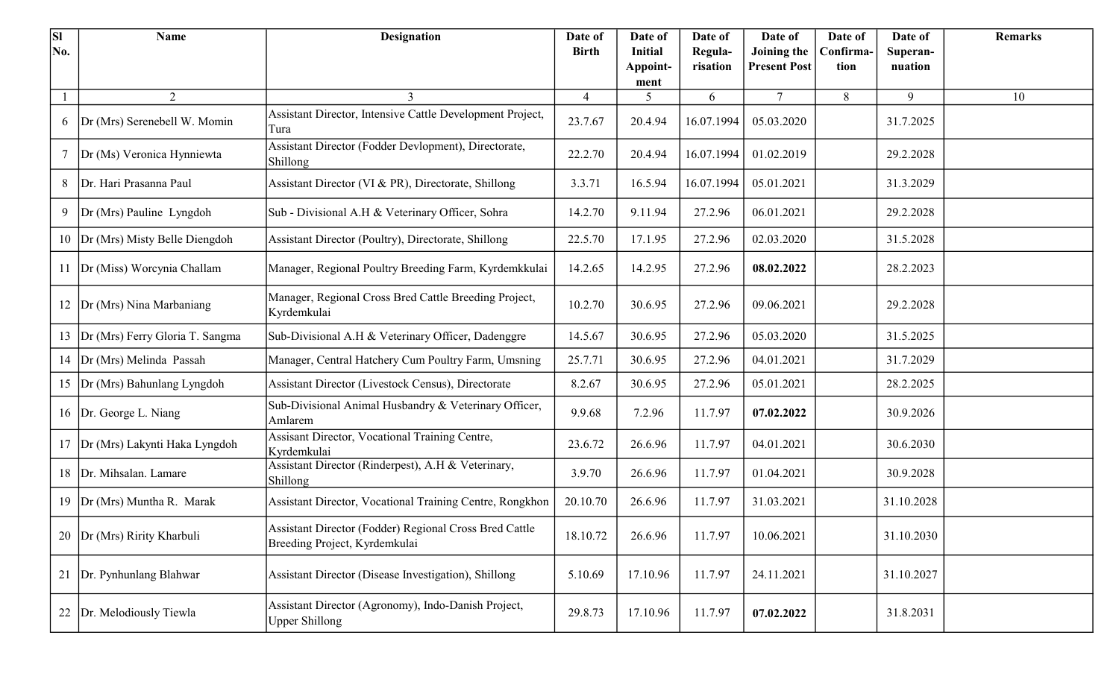| <b>SI</b> | Name                            | <b>Designation</b>                                                                      | Date of      | Date of                    | Date of             | Date of                            | Date of           | Date of             | <b>Remarks</b> |
|-----------|---------------------------------|-----------------------------------------------------------------------------------------|--------------|----------------------------|---------------------|------------------------------------|-------------------|---------------------|----------------|
| No.       |                                 |                                                                                         | <b>Birth</b> | <b>Initial</b><br>Appoint- | Regula-<br>risation | Joining the<br><b>Present Post</b> | Confirma-<br>tion | Superan-<br>nuation |                |
|           |                                 |                                                                                         |              | ment                       |                     |                                    |                   |                     |                |
|           | 2                               | 3                                                                                       | 4            | 5                          | 6                   | $\tau$                             | 8                 | 9                   | 10             |
| 6         | Dr (Mrs) Serenebell W. Momin    | Assistant Director, Intensive Cattle Development Project,<br>Tura                       | 23.7.67      | 20.4.94                    | 16.07.1994          | 05.03.2020                         |                   | 31.7.2025           |                |
| $\tau$    | Dr (Ms) Veronica Hynniewta      | Assistant Director (Fodder Devlopment), Directorate,<br>Shillong                        | 22.2.70      | 20.4.94                    | 16.07.1994          | 01.02.2019                         |                   | 29.2.2028           |                |
| 8         | Dr. Hari Prasanna Paul          | Assistant Director (VI & PR), Directorate, Shillong                                     | 3.3.71       | 16.5.94                    | 16.07.1994          | 05.01.2021                         |                   | 31.3.2029           |                |
| 9         | Dr (Mrs) Pauline Lyngdoh        | Sub - Divisional A.H & Veterinary Officer, Sohra                                        | 14.2.70      | 9.11.94                    | 27.2.96             | 06.01.2021                         |                   | 29.2.2028           |                |
| 10        | Dr (Mrs) Misty Belle Diengdoh   | Assistant Director (Poultry), Directorate, Shillong                                     | 22.5.70      | 17.1.95                    | 27.2.96             | 02.03.2020                         |                   | 31.5.2028           |                |
| 11        | Dr (Miss) Worcynia Challam      | Manager, Regional Poultry Breeding Farm, Kyrdemkkulai                                   | 14.2.65      | 14.2.95                    | 27.2.96             | 08.02.2022                         |                   | 28.2.2023           |                |
| 12        | Dr (Mrs) Nina Marbaniang        | Manager, Regional Cross Bred Cattle Breeding Project,<br>Kyrdemkulai                    | 10.2.70      | 30.6.95                    | 27.2.96             | 09.06.2021                         |                   | 29.2.2028           |                |
| 13        | Dr (Mrs) Ferry Gloria T. Sangma | Sub-Divisional A.H & Veterinary Officer, Dadenggre                                      | 14.5.67      | 30.6.95                    | 27.2.96             | 05.03.2020                         |                   | 31.5.2025           |                |
| 14        | Dr (Mrs) Melinda Passah         | Manager, Central Hatchery Cum Poultry Farm, Umsning                                     | 25.7.71      | 30.6.95                    | 27.2.96             | 04.01.2021                         |                   | 31.7.2029           |                |
| 15        | Dr (Mrs) Bahunlang Lyngdoh      | Assistant Director (Livestock Census), Directorate                                      | 8.2.67       | 30.6.95                    | 27.2.96             | 05.01.2021                         |                   | 28.2.2025           |                |
| 16        | Dr. George L. Niang             | Sub-Divisional Animal Husbandry & Veterinary Officer,<br>Amlarem                        | 9.9.68       | 7.2.96                     | 11.7.97             | 07.02.2022                         |                   | 30.9.2026           |                |
| 17        | Dr (Mrs) Lakynti Haka Lyngdoh   | Assisant Director, Vocational Training Centre,<br>Kyrdemkulai                           | 23.6.72      | 26.6.96                    | 11.7.97             | 04.01.2021                         |                   | 30.6.2030           |                |
| 18        | Dr. Mihsalan. Lamare            | Assistant Director (Rinderpest), A.H & Veterinary,<br>Shillong                          | 3.9.70       | 26.6.96                    | 11.7.97             | 01.04.2021                         |                   | 30.9.2028           |                |
| 19        | Dr (Mrs) Muntha R. Marak        | Assistant Director, Vocational Training Centre, Rongkhon                                | 20.10.70     | 26.6.96                    | 11.7.97             | 31.03.2021                         |                   | 31.10.2028          |                |
| 20        | Dr (Mrs) Ririty Kharbuli        | Assistant Director (Fodder) Regional Cross Bred Cattle<br>Breeding Project, Kyrdemkulai | 18.10.72     | 26.6.96                    | 11.7.97             | 10.06.2021                         |                   | 31.10.2030          |                |
| 21        | Dr. Pynhunlang Blahwar          | Assistant Director (Disease Investigation), Shillong                                    | 5.10.69      | 17.10.96                   | 11.7.97             | 24.11.2021                         |                   | 31.10.2027          |                |
|           | Dr. Melodiously Tiewla          | Assistant Director (Agronomy), Indo-Danish Project,<br><b>Upper Shillong</b>            | 29.8.73      | 17.10.96                   | 11.7.97             | 07.02.2022                         |                   | 31.8.2031           |                |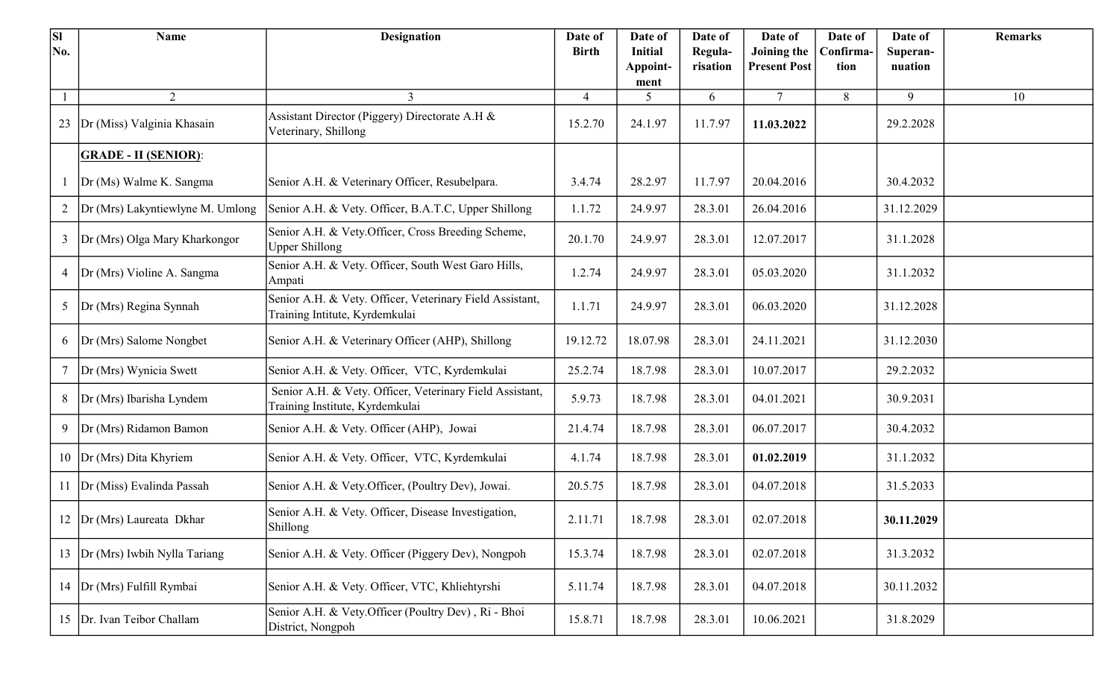| <b>SI</b> | Name                             | <b>Designation</b>                                                                          | Date of        | Date of                    | Date of             | Date of                            | Date of           | Date of             | <b>Remarks</b> |
|-----------|----------------------------------|---------------------------------------------------------------------------------------------|----------------|----------------------------|---------------------|------------------------------------|-------------------|---------------------|----------------|
| No.       |                                  |                                                                                             | <b>Birth</b>   | <b>Initial</b><br>Appoint- | Regula-<br>risation | Joining the<br><b>Present Post</b> | Confirma-<br>tion | Superan-<br>nuation |                |
|           |                                  |                                                                                             |                | ment                       |                     |                                    |                   |                     |                |
|           | 2                                | 3                                                                                           | $\overline{4}$ | 5                          | 6                   | $\tau$                             | 8                 | 9                   | 10             |
| 23        | Dr (Miss) Valginia Khasain       | Assistant Director (Piggery) Directorate A.H &<br>Veterinary, Shillong                      | 15.2.70        | 24.1.97                    | 11.7.97             | 11.03.2022                         |                   | 29.2.2028           |                |
|           | <b>GRADE - II (SENIOR):</b>      |                                                                                             |                |                            |                     |                                    |                   |                     |                |
|           | Dr (Ms) Walme K. Sangma          | Senior A.H. & Veterinary Officer, Resubelpara.                                              | 3.4.74         | 28.2.97                    | 11.7.97             | 20.04.2016                         |                   | 30.4.2032           |                |
| 2         | Dr (Mrs) Lakyntiewlyne M. Umlong | Senior A.H. & Vety. Officer, B.A.T.C, Upper Shillong                                        | 1.1.72         | 24.9.97                    | 28.3.01             | 26.04.2016                         |                   | 31.12.2029          |                |
| 3         | Dr (Mrs) Olga Mary Kharkongor    | Senior A.H. & Vety.Officer, Cross Breeding Scheme,<br><b>Upper Shillong</b>                 | 20.1.70        | 24.9.97                    | 28.3.01             | 12.07.2017                         |                   | 31.1.2028           |                |
| 4         | Dr (Mrs) Violine A. Sangma       | Senior A.H. & Vety. Officer, South West Garo Hills,<br>Ampati                               | 1.2.74         | 24.9.97                    | 28.3.01             | 05.03.2020                         |                   | 31.1.2032           |                |
| 5         | Dr (Mrs) Regina Synnah           | Senior A.H. & Vety. Officer, Veterinary Field Assistant,<br>Training Intitute, Kyrdemkulai  | 1.1.71         | 24.9.97                    | 28.3.01             | 06.03.2020                         |                   | 31.12.2028          |                |
| 6         | Dr (Mrs) Salome Nongbet          | Senior A.H. & Veterinary Officer (AHP), Shillong                                            | 19.12.72       | 18.07.98                   | 28.3.01             | 24.11.2021                         |                   | 31.12.2030          |                |
| $\tau$    | Dr (Mrs) Wynicia Swett           | Senior A.H. & Vety. Officer, VTC, Kyrdemkulai                                               | 25.2.74        | 18.7.98                    | 28.3.01             | 10.07.2017                         |                   | 29.2.2032           |                |
| 8         | Dr (Mrs) Ibarisha Lyndem         | Senior A.H. & Vety. Officer, Veterinary Field Assistant,<br>Training Institute, Kyrdemkulai | 5.9.73         | 18.7.98                    | 28.3.01             | 04.01.2021                         |                   | 30.9.2031           |                |
| 9         | Dr (Mrs) Ridamon Bamon           | Senior A.H. & Vety. Officer (AHP), Jowai                                                    | 21.4.74        | 18.7.98                    | 28.3.01             | 06.07.2017                         |                   | 30.4.2032           |                |
| 10        | Dr (Mrs) Dita Khyriem            | Senior A.H. & Vety. Officer, VTC, Kyrdemkulai                                               | 4.1.74         | 18.7.98                    | 28.3.01             | 01.02.2019                         |                   | 31.1.2032           |                |
|           | 11  Dr (Miss) Evalinda Passah    | Senior A.H. & Vety.Officer, (Poultry Dev), Jowai.                                           | 20.5.75        | 18.7.98                    | 28.3.01             | 04.07.2018                         |                   | 31.5.2033           |                |
| 12        | Dr (Mrs) Laureata Dkhar          | Senior A.H. & Vety. Officer, Disease Investigation,<br>Shillong                             | 2.11.71        | 18.7.98                    | 28.3.01             | 02.07.2018                         |                   | 30.11.2029          |                |
| 13        | Dr (Mrs) Iwbih Nylla Tariang     | Senior A.H. & Vety. Officer (Piggery Dev), Nongpoh                                          | 15.3.74        | 18.7.98                    | 28.3.01             | 02.07.2018                         |                   | 31.3.2032           |                |
| 14        | Dr (Mrs) Fulfill Rymbai          | Senior A.H. & Vety. Officer, VTC, Khliehtyrshi                                              | 5.11.74        | 18.7.98                    | 28.3.01             | 04.07.2018                         |                   | 30.11.2032          |                |
| 15        | Dr. Ivan Teibor Challam          | Senior A.H. & Vety.Officer (Poultry Dev), Ri - Bhoi<br>District, Nongpoh                    | 15.8.71        | 18.7.98                    | 28.3.01             | 10.06.2021                         |                   | 31.8.2029           |                |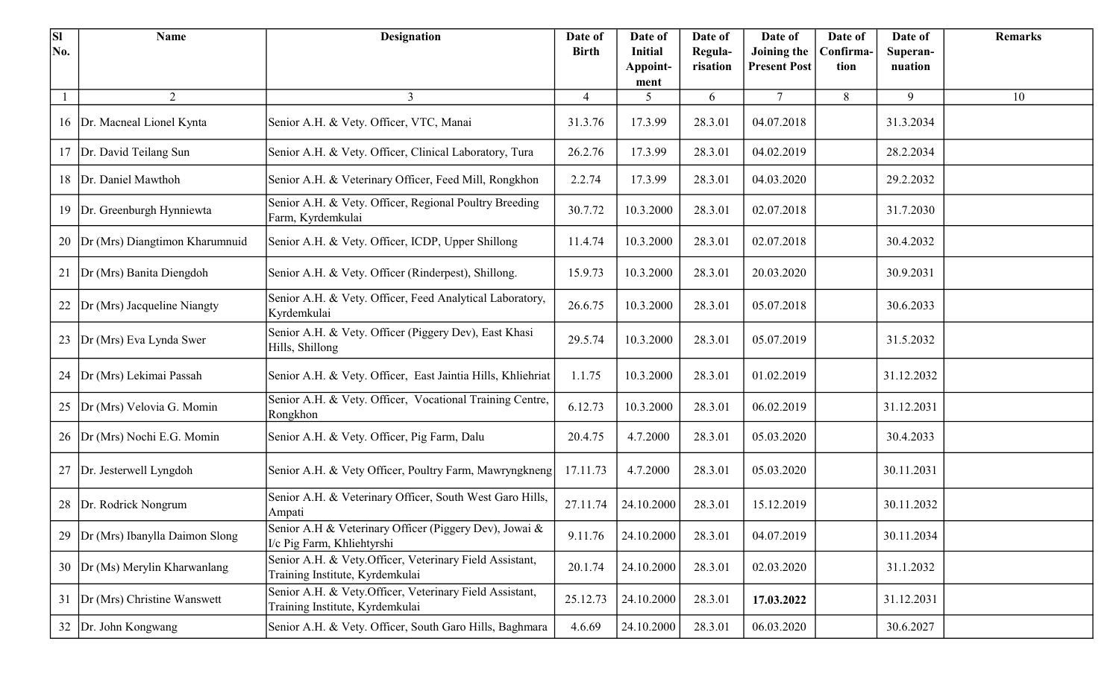| <b>SI</b><br>No. | <b>Name</b>                        | <b>Designation</b>                                                                         | Date of<br><b>Birth</b> | Date of<br>Initial | Date of<br>Regula- | Date of<br>Joining the | Date of<br>Confirma- | Date of<br>Superan- | <b>Remarks</b> |
|------------------|------------------------------------|--------------------------------------------------------------------------------------------|-------------------------|--------------------|--------------------|------------------------|----------------------|---------------------|----------------|
|                  |                                    |                                                                                            |                         | Appoint-<br>ment   | risation           | <b>Present Post</b>    | tion                 | nuation             |                |
|                  | 2                                  | $\mathbf{3}$                                                                               | $\overline{4}$          | 5                  | 6                  | $\tau$                 | 8                    | 9                   | 10             |
|                  | 16   Dr. Macneal Lionel Kynta      | Senior A.H. & Vety. Officer, VTC, Manai                                                    | 31.3.76                 | 17.3.99            | 28.3.01            | 04.07.2018             |                      | 31.3.2034           |                |
|                  | 17  Dr. David Teilang Sun          | Senior A.H. & Vety. Officer, Clinical Laboratory, Tura                                     | 26.2.76                 | 17.3.99            | 28.3.01            | 04.02.2019             |                      | 28.2.2034           |                |
|                  | 18 Dr. Daniel Mawthoh              | Senior A.H. & Veterinary Officer, Feed Mill, Rongkhon                                      | 2.2.74                  | 17.3.99            | 28.3.01            | 04.03.2020             |                      | 29.2.2032           |                |
| 19               | Dr. Greenburgh Hynniewta           | Senior A.H. & Vety. Officer, Regional Poultry Breeding<br>Farm, Kyrdemkulai                | 30.7.72                 | 10.3.2000          | 28.3.01            | 02.07.2018             |                      | 31.7.2030           |                |
|                  | 20  Dr (Mrs) Diangtimon Kharumnuid | Senior A.H. & Vety. Officer, ICDP, Upper Shillong                                          | 11.4.74                 | 10.3.2000          | 28.3.01            | 02.07.2018             |                      | 30.4.2032           |                |
| 21               | Dr (Mrs) Banita Diengdoh           | Senior A.H. & Vety. Officer (Rinderpest), Shillong.                                        | 15.9.73                 | 10.3.2000          | 28.3.01            | 20.03.2020             |                      | 30.9.2031           |                |
|                  | 22 Dr (Mrs) Jacqueline Niangty     | Senior A.H. & Vety. Officer, Feed Analytical Laboratory,<br>Kyrdemkulai                    | 26.6.75                 | 10.3.2000          | 28.3.01            | 05.07.2018             |                      | 30.6.2033           |                |
|                  | 23  Dr (Mrs) Eva Lynda Swer        | Senior A.H. & Vety. Officer (Piggery Dev), East Khasi<br>Hills, Shillong                   | 29.5.74                 | 10.3.2000          | 28.3.01            | 05.07.2019             |                      | 31.5.2032           |                |
|                  | 24   Dr (Mrs) Lekimai Passah       | Senior A.H. & Vety. Officer, East Jaintia Hills, Khliehriat                                | 1.1.75                  | 10.3.2000          | 28.3.01            | 01.02.2019             |                      | 31.12.2032          |                |
|                  | 25  Dr (Mrs) Velovia G. Momin      | Senior A.H. & Vety. Officer, Vocational Training Centre,<br>Rongkhon                       | 6.12.73                 | 10.3.2000          | 28.3.01            | 06.02.2019             |                      | 31.12.2031          |                |
|                  | 26   Dr (Mrs) Nochi E.G. Momin     | Senior A.H. & Vety. Officer, Pig Farm, Dalu                                                | 20.4.75                 | 4.7.2000           | 28.3.01            | 05.03.2020             |                      | 30.4.2033           |                |
|                  | 27 Dr. Jesterwell Lyngdoh          | Senior A.H. & Vety Officer, Poultry Farm, Mawryngkneng                                     | 17.11.73                | 4.7.2000           | 28.3.01            | 05.03.2020             |                      | 30.11.2031          |                |
|                  | 28   Dr. Rodrick Nongrum           | Senior A.H. & Veterinary Officer, South West Garo Hills,<br>Ampati                         | 27.11.74                | 24.10.2000         | 28.3.01            | 15.12.2019             |                      | 30.11.2032          |                |
|                  | Dr (Mrs) Ibanylla Daimon Slong     | Senior A.H & Veterinary Officer (Piggery Dev), Jowai &<br>I/c Pig Farm, Khliehtyrshi       | 9.11.76                 | 24.10.2000         | 28.3.01            | 04.07.2019             |                      | 30.11.2034          |                |
|                  | 30  Dr (Ms) Merylin Kharwanlang    | Senior A.H. & Vety.Officer, Veterinary Field Assistant,<br>Training Institute, Kyrdemkulai | 20.1.74                 | 24.10.2000         | 28.3.01            | 02.03.2020             |                      | 31.1.2032           |                |
|                  | 31 Dr (Mrs) Christine Wanswett     | Senior A.H. & Vety.Officer, Veterinary Field Assistant,<br>Training Institute, Kyrdemkulai | 25.12.73                | 24.10.2000         | 28.3.01            | 17.03.2022             |                      | 31.12.2031          |                |
|                  | 32 Dr. John Kongwang               | Senior A.H. & Vety. Officer, South Garo Hills, Baghmara                                    | 4.6.69                  | 24.10.2000         | 28.3.01            | 06.03.2020             |                      | 30.6.2027           |                |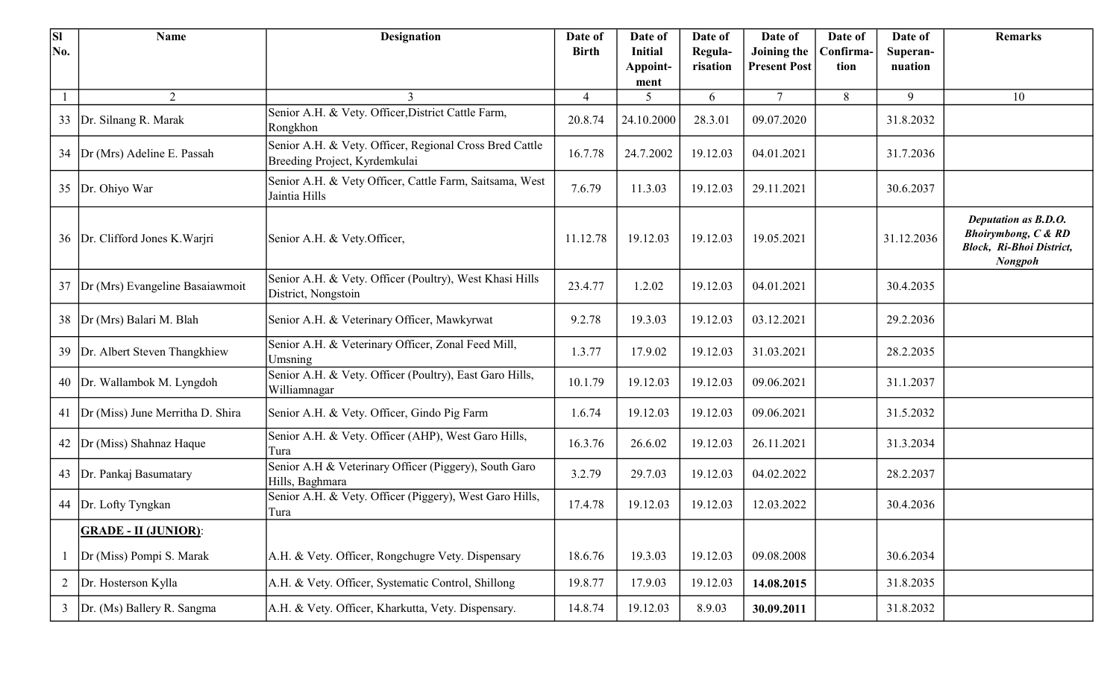| <b>SI</b>      | <b>Name</b>                           | <b>Designation</b>                                                                       | Date of        | Date of          | Date of  | Date of             | Date of   | Date of    | <b>Remarks</b>                                                                                       |
|----------------|---------------------------------------|------------------------------------------------------------------------------------------|----------------|------------------|----------|---------------------|-----------|------------|------------------------------------------------------------------------------------------------------|
| No.            |                                       |                                                                                          | <b>Birth</b>   | <b>Initial</b>   | Regula-  | Joining the         | Confirma- | Superan-   |                                                                                                      |
|                |                                       |                                                                                          |                | Appoint-<br>ment | risation | <b>Present Post</b> | tion      | nuation    |                                                                                                      |
|                | 2                                     | 3                                                                                        | $\overline{4}$ | 5                | 6        | $\tau$              | 8         | 9          | 10                                                                                                   |
|                | 33 Dr. Silnang R. Marak               | Senior A.H. & Vety. Officer, District Cattle Farm,<br>Rongkhon                           | 20.8.74        | 24.10.2000       | 28.3.01  | 09.07.2020          |           | 31.8.2032  |                                                                                                      |
|                | 34  Dr (Mrs) Adeline E. Passah        | Senior A.H. & Vety. Officer, Regional Cross Bred Cattle<br>Breeding Project, Kyrdemkulai | 16.7.78        | 24.7.2002        | 19.12.03 | 04.01.2021          |           | 31.7.2036  |                                                                                                      |
| 35             | Dr. Ohiyo War                         | Senior A.H. & Vety Officer, Cattle Farm, Saitsama, West<br>Jaintia Hills                 | 7.6.79         | 11.3.03          | 19.12.03 | 29.11.2021          |           | 30.6.2037  |                                                                                                      |
|                | 36   Dr. Clifford Jones K. Warjri     | Senior A.H. & Vety.Officer,                                                              | 11.12.78       | 19.12.03         | 19.12.03 | 19.05.2021          |           | 31.12.2036 | Deputation as B.D.O.<br><b>Bhoirymbong, C &amp; RD</b><br>Block, Ri-Bhoi District,<br><b>Nongpoh</b> |
| 37             | Dr (Mrs) Evangeline Basaiawmoit       | Senior A.H. & Vety. Officer (Poultry), West Khasi Hills<br>District, Nongstoin           | 23.4.77        | 1.2.02           | 19.12.03 | 04.01.2021          |           | 30.4.2035  |                                                                                                      |
|                | 38  Dr (Mrs) Balari M. Blah           | Senior A.H. & Veterinary Officer, Mawkyrwat                                              | 9.2.78         | 19.3.03          | 19.12.03 | 03.12.2021          |           | 29.2.2036  |                                                                                                      |
| 39             | Dr. Albert Steven Thangkhiew          | Senior A.H. & Veterinary Officer, Zonal Feed Mill,<br>Umsning                            | 1.3.77         | 17.9.02          | 19.12.03 | 31.03.2021          |           | 28.2.2035  |                                                                                                      |
|                | 40 Dr. Wallambok M. Lyngdoh           | Senior A.H. & Vety. Officer (Poultry), East Garo Hills,<br>Williamnagar                  | 10.1.79        | 19.12.03         | 19.12.03 | 09.06.2021          |           | 31.1.2037  |                                                                                                      |
|                | 41   Dr (Miss) June Merritha D. Shira | Senior A.H. & Vety. Officer, Gindo Pig Farm                                              | 1.6.74         | 19.12.03         | 19.12.03 | 09.06.2021          |           | 31.5.2032  |                                                                                                      |
| 42             | Dr (Miss) Shahnaz Haque               | Senior A.H. & Vety. Officer (AHP), West Garo Hills,<br>Tura                              | 16.3.76        | 26.6.02          | 19.12.03 | 26.11.2021          |           | 31.3.2034  |                                                                                                      |
|                | 43   Dr. Pankaj Basumatary            | Senior A.H & Veterinary Officer (Piggery), South Garo<br>Hills, Baghmara                 | 3.2.79         | 29.7.03          | 19.12.03 | 04.02.2022          |           | 28.2.2037  |                                                                                                      |
|                | 44   Dr. Lofty Tyngkan                | Senior A.H. & Vety. Officer (Piggery), West Garo Hills,<br>Tura                          | 17.4.78        | 19.12.03         | 19.12.03 | 12.03.2022          |           | 30.4.2036  |                                                                                                      |
|                | <b>GRADE - II (JUNIOR):</b>           |                                                                                          |                |                  |          |                     |           |            |                                                                                                      |
|                | Dr (Miss) Pompi S. Marak              | A.H. & Vety. Officer, Rongchugre Vety. Dispensary                                        | 18.6.76        | 19.3.03          | 19.12.03 | 09.08.2008          |           | 30.6.2034  |                                                                                                      |
| $\overline{2}$ | Dr. Hosterson Kylla                   | A.H. & Vety. Officer, Systematic Control, Shillong                                       | 19.8.77        | 17.9.03          | 19.12.03 | 14.08.2015          |           | 31.8.2035  |                                                                                                      |
| $\mathfrak{Z}$ | Dr. (Ms) Ballery R. Sangma            | A.H. & Vety. Officer, Kharkutta, Vety. Dispensary.                                       | 14.8.74        | 19.12.03         | 8.9.03   | 30.09.2011          |           | 31.8.2032  |                                                                                                      |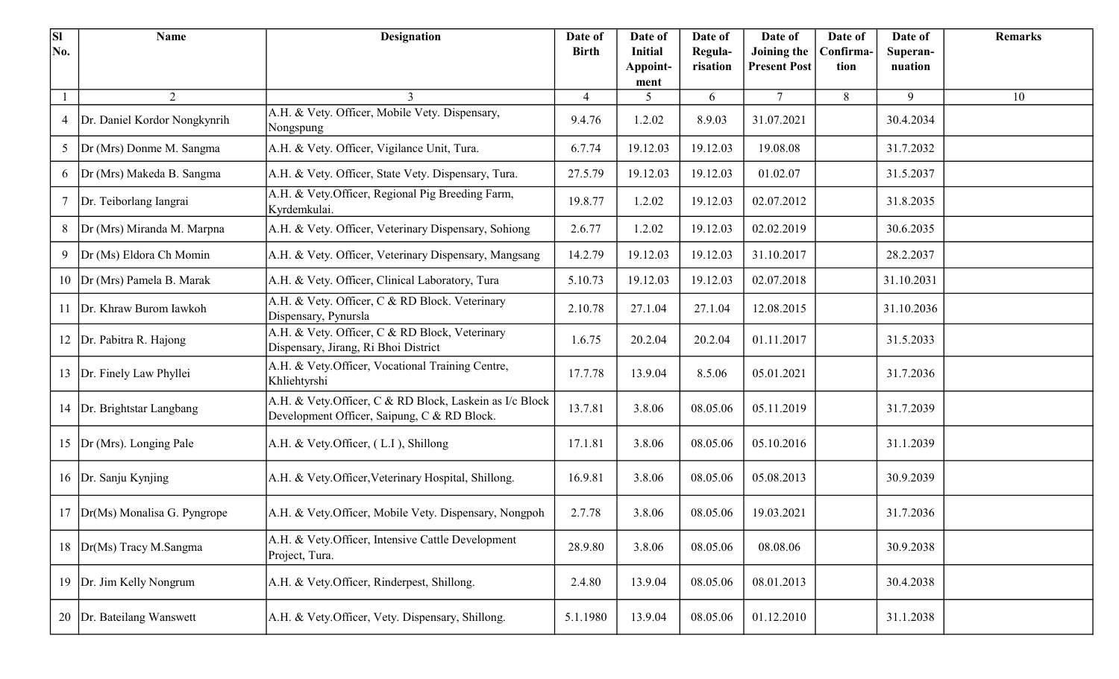| <b>SI</b><br>No. | <b>Name</b>                   | <b>Designation</b>                                                                                     | Date of<br><b>Birth</b> | Date of<br><b>Initial</b> | Date of             | Date of                            | Date of           | Date of             | <b>Remarks</b> |
|------------------|-------------------------------|--------------------------------------------------------------------------------------------------------|-------------------------|---------------------------|---------------------|------------------------------------|-------------------|---------------------|----------------|
|                  |                               |                                                                                                        |                         | Appoint-                  | Regula-<br>risation | Joining the<br><b>Present Post</b> | Confirma-<br>tion | Superan-<br>nuation |                |
|                  |                               |                                                                                                        |                         | ment                      |                     |                                    |                   |                     |                |
|                  | $\overline{2}$                |                                                                                                        | 4                       | 5                         | 6                   | $\tau$                             | 8                 | 9                   | 10             |
| 4                | Dr. Daniel Kordor Nongkynrih  | A.H. & Vety. Officer, Mobile Vety. Dispensary,<br>Nongspung                                            | 9.4.76                  | 1.2.02                    | 8.9.03              | 31.07.2021                         |                   | 30.4.2034           |                |
| 5 <sup>5</sup>   | Dr (Mrs) Donme M. Sangma      | A.H. & Vety. Officer, Vigilance Unit, Tura.                                                            | 6.7.74                  | 19.12.03                  | 19.12.03            | 19.08.08                           |                   | 31.7.2032           |                |
| 6                | Dr (Mrs) Makeda B. Sangma     | A.H. & Vety. Officer, State Vety. Dispensary, Tura.                                                    | 27.5.79                 | 19.12.03                  | 19.12.03            | 01.02.07                           |                   | 31.5.2037           |                |
| $\tau$           | Dr. Teiborlang Iangrai        | A.H. & Vety.Officer, Regional Pig Breeding Farm,<br>Kyrdemkulai.                                       | 19.8.77                 | 1.2.02                    | 19.12.03            | 02.07.2012                         |                   | 31.8.2035           |                |
| 8                | Dr (Mrs) Miranda M. Marpna    | A.H. & Vety. Officer, Veterinary Dispensary, Sohiong                                                   | 2.6.77                  | 1.2.02                    | 19.12.03            | 02.02.2019                         |                   | 30.6.2035           |                |
| 9                | Dr (Ms) Eldora Ch Momin       | A.H. & Vety. Officer, Veterinary Dispensary, Mangsang                                                  | 14.2.79                 | 19.12.03                  | 19.12.03            | 31.10.2017                         |                   | 28.2.2037           |                |
|                  | 10  Dr (Mrs) Pamela B. Marak  | A.H. & Vety. Officer, Clinical Laboratory, Tura                                                        | 5.10.73                 | 19.12.03                  | 19.12.03            | 02.07.2018                         |                   | 31.10.2031          |                |
| 11               | Dr. Khraw Burom Iawkoh        | A.H. & Vety. Officer, C & RD Block. Veterinary<br>Dispensary, Pynursla                                 | 2.10.78                 | 27.1.04                   | 27.1.04             | 12.08.2015                         |                   | 31.10.2036          |                |
| 12               | Dr. Pabitra R. Hajong         | A.H. & Vety. Officer, C & RD Block, Veterinary<br>Dispensary, Jirang, Ri Bhoi District                 | 1.6.75                  | 20.2.04                   | 20.2.04             | 01.11.2017                         |                   | 31.5.2033           |                |
| 13               | Dr. Finely Law Phyllei        | A.H. & Vety.Officer, Vocational Training Centre,<br>Khliehtyrshi                                       | 17.7.78                 | 13.9.04                   | 8.5.06              | 05.01.2021                         |                   | 31.7.2036           |                |
|                  | 14 Dr. Brightstar Langbang    | A.H. & Vety.Officer, C & RD Block, Laskein as I/c Block<br>Development Officer, Saipung, C & RD Block. | 13.7.81                 | 3.8.06                    | 08.05.06            | 05.11.2019                         |                   | 31.7.2039           |                |
| 15               | Dr (Mrs). Longing Pale        | A.H. & Vety.Officer, (L.I), Shillong                                                                   | 17.1.81                 | 3.8.06                    | 08.05.06            | 05.10.2016                         |                   | 31.1.2039           |                |
|                  | 16  Dr. Sanju Kynjing         | A.H. & Vety.Officer, Veterinary Hospital, Shillong.                                                    | 16.9.81                 | 3.8.06                    | 08.05.06            | 05.08.2013                         |                   | 30.9.2039           |                |
| 17               | $Dr(Ms)$ Monalisa G. Pyngrope | A.H. & Vety.Officer, Mobile Vety. Dispensary, Nongpoh                                                  | 2.7.78                  | 3.8.06                    | 08.05.06            | 19.03.2021                         |                   | 31.7.2036           |                |
| 18               | Dr(Ms) Tracy M.Sangma         | A.H. & Vety.Officer, Intensive Cattle Development<br>Project, Tura.                                    | 28.9.80                 | 3.8.06                    | 08.05.06            | 08.08.06                           |                   | 30.9.2038           |                |
| 19               | Dr. Jim Kelly Nongrum         | A.H. & Vety.Officer, Rinderpest, Shillong.                                                             | 2.4.80                  | 13.9.04                   | 08.05.06            | 08.01.2013                         |                   | 30.4.2038           |                |
| 20               | Dr. Bateilang Wanswett        | A.H. & Vety.Officer, Vety. Dispensary, Shillong.                                                       | 5.1.1980                | 13.9.04                   | 08.05.06            | 01.12.2010                         |                   | 31.1.2038           |                |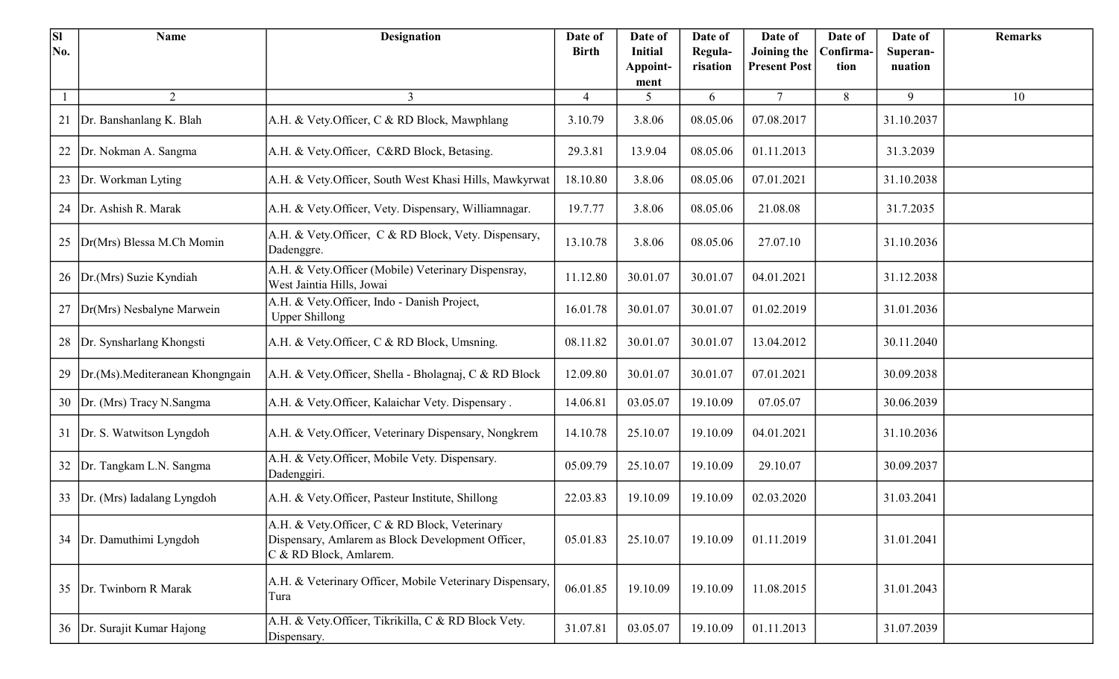| <b>SI</b> | <b>Name</b>                      | <b>Designation</b>                                                                                                           | Date of        | Date of                    | Date of             | Date of                            | Date of           | Date of             | <b>Remarks</b> |
|-----------|----------------------------------|------------------------------------------------------------------------------------------------------------------------------|----------------|----------------------------|---------------------|------------------------------------|-------------------|---------------------|----------------|
| No.       |                                  |                                                                                                                              | <b>Birth</b>   | <b>Initial</b><br>Appoint- | Regula-<br>risation | Joining the<br><b>Present Post</b> | Confirma-<br>tion | Superan-<br>nuation |                |
|           |                                  |                                                                                                                              |                | ment                       |                     |                                    |                   |                     |                |
|           | 2                                | 3                                                                                                                            | $\overline{4}$ | 5                          | 6                   | $\tau$                             | 8                 | 9                   | 10             |
| 21        | Dr. Banshanlang K. Blah          | A.H. & Vety.Officer, C & RD Block, Mawphlang                                                                                 | 3.10.79        | 3.8.06                     | 08.05.06            | 07.08.2017                         |                   | 31.10.2037          |                |
| 22        | Dr. Nokman A. Sangma             | A.H. & Vety.Officer, C&RD Block, Betasing.                                                                                   | 29.3.81        | 13.9.04                    | 08.05.06            | 01.11.2013                         |                   | 31.3.2039           |                |
| 23        | Dr. Workman Lyting               | A.H. & Vety.Officer, South West Khasi Hills, Mawkyrwat                                                                       | 18.10.80       | 3.8.06                     | 08.05.06            | 07.01.2021                         |                   | 31.10.2038          |                |
| 24        | Dr. Ashish R. Marak              | A.H. & Vety.Officer, Vety. Dispensary, Williamnagar.                                                                         | 19.7.77        | 3.8.06                     | 08.05.06            | 21.08.08                           |                   | 31.7.2035           |                |
| 25        | Dr(Mrs) Blessa M.Ch Momin        | A.H. & Vety.Officer, C & RD Block, Vety. Dispensary,<br>Dadenggre.                                                           | 13.10.78       | 3.8.06                     | 08.05.06            | 27.07.10                           |                   | 31.10.2036          |                |
|           | 26 Dr. (Mrs) Suzie Kyndiah       | A.H. & Vety.Officer (Mobile) Veterinary Dispensray,<br>West Jaintia Hills, Jowai                                             | 11.12.80       | 30.01.07                   | 30.01.07            | 04.01.2021                         |                   | 31.12.2038          |                |
| 27        | Dr(Mrs) Nesbalyne Marwein        | A.H. & Vety.Officer, Indo - Danish Project,<br><b>Upper Shillong</b>                                                         | 16.01.78       | 30.01.07                   | 30.01.07            | 01.02.2019                         |                   | 31.01.2036          |                |
| 28        | Dr. Synsharlang Khongsti         | A.H. & Vety.Officer, C & RD Block, Umsning.                                                                                  | 08.11.82       | 30.01.07                   | 30.01.07            | 13.04.2012                         |                   | 30.11.2040          |                |
| 29        | Dr.(Ms). Mediteranean Khongngain | A.H. & Vety.Officer, Shella - Bholagnaj, C & RD Block                                                                        | 12.09.80       | 30.01.07                   | 30.01.07            | 07.01.2021                         |                   | 30.09.2038          |                |
|           | 30   Dr. (Mrs) Tracy N. Sangma   | A.H. & Vety.Officer, Kalaichar Vety. Dispensary.                                                                             | 14.06.81       | 03.05.07                   | 19.10.09            | 07.05.07                           |                   | 30.06.2039          |                |
|           | 31   Dr. S. Watwitson Lyngdoh    | A.H. & Vety.Officer, Veterinary Dispensary, Nongkrem                                                                         | 14.10.78       | 25.10.07                   | 19.10.09            | 04.01.2021                         |                   | 31.10.2036          |                |
|           | 32 Dr. Tangkam L.N. Sangma       | A.H. & Vety.Officer, Mobile Vety. Dispensary.<br>Dadenggiri.                                                                 | 05.09.79       | 25.10.07                   | 19.10.09            | 29.10.07                           |                   | 30.09.2037          |                |
| 33        | Dr. (Mrs) Iadalang Lyngdoh       | A.H. & Vety.Officer, Pasteur Institute, Shillong                                                                             | 22.03.83       | 19.10.09                   | 19.10.09            | 02.03.2020                         |                   | 31.03.2041          |                |
|           | 34   Dr. Damuthimi Lyngdoh       | A.H. & Vety.Officer, C & RD Block, Veterinary<br>Dispensary, Amlarem as Block Development Officer,<br>C & RD Block, Amlarem. | 05.01.83       | 25.10.07                   | 19.10.09            | 01.11.2019                         |                   | 31.01.2041          |                |
|           | 35  Dr. Twinborn R Marak         | A.H. & Veterinary Officer, Mobile Veterinary Dispensary,<br>Tura                                                             | 06.01.85       | 19.10.09                   | 19.10.09            | 11.08.2015                         |                   | 31.01.2043          |                |
|           | 36   Dr. Surajit Kumar Hajong    | A.H. & Vety.Officer, Tikrikilla, C & RD Block Vety.<br>Dispensary.                                                           | 31.07.81       | 03.05.07                   | 19.10.09            | 01.11.2013                         |                   | 31.07.2039          |                |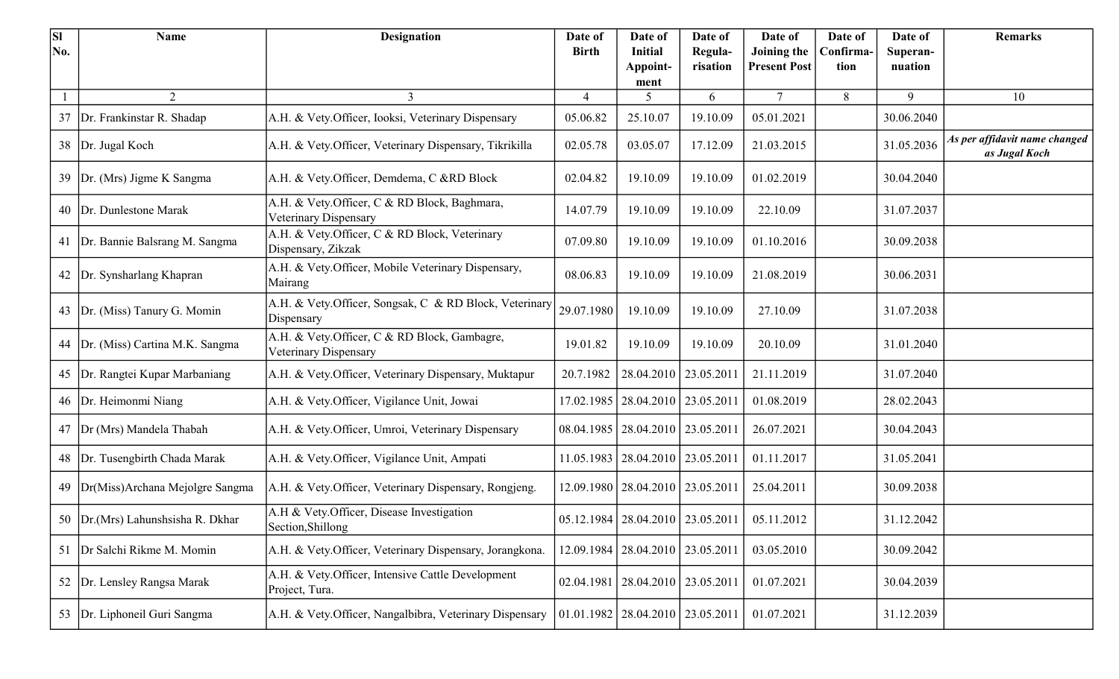| <b>SI</b> | <b>Name</b>                           | <b>Designation</b>                                                    | Date of        | Date of                                | Date of                                | Date of                            | Date of          | Date of             | <b>Remarks</b>                                 |
|-----------|---------------------------------------|-----------------------------------------------------------------------|----------------|----------------------------------------|----------------------------------------|------------------------------------|------------------|---------------------|------------------------------------------------|
| No.       |                                       |                                                                       | <b>Birth</b>   | <b>Initial</b><br>Appoint-             | Regula-<br>risation                    | Joining the<br><b>Present Post</b> | Confirma<br>tion | Superan-<br>nuation |                                                |
|           |                                       |                                                                       |                | ment                                   |                                        |                                    |                  |                     |                                                |
|           | 2                                     | $\mathfrak{Z}$                                                        | $\overline{4}$ | 5                                      | 6                                      | $\tau$                             | 8                | 9                   | 10                                             |
| 37        | Dr. Frankinstar R. Shadap             | A.H. & Vety.Officer, Iooksi, Veterinary Dispensary                    | 05.06.82       | 25.10.07                               | 19.10.09                               | 05.01.2021                         |                  | 30.06.2040          |                                                |
|           | 38 Dr. Jugal Koch                     | A.H. & Vety.Officer, Veterinary Dispensary, Tikrikilla                | 02.05.78       | 03.05.07                               | 17.12.09                               | 21.03.2015                         |                  | 31.05.2036          | As per affidavit name changed<br>as Jugal Koch |
| 39        | Dr. (Mrs) Jigme K Sangma              | A.H. & Vety.Officer, Demdema, C &RD Block                             | 02.04.82       | 19.10.09                               | 19.10.09                               | 01.02.2019                         |                  | 30.04.2040          |                                                |
|           | 40 Dr. Dunlestone Marak               | A.H. & Vety.Officer, C & RD Block, Baghmara,<br>Veterinary Dispensary | 14.07.79       | 19.10.09                               | 19.10.09                               | 22.10.09                           |                  | 31.07.2037          |                                                |
|           | 41   Dr. Bannie Balsrang M. Sangma    | A.H. & Vety.Officer, C & RD Block, Veterinary<br>Dispensary, Zikzak   | 07.09.80       | 19.10.09                               | 19.10.09                               | 01.10.2016                         |                  | 30.09.2038          |                                                |
|           | 42 Dr. Synsharlang Khapran            | A.H. & Vety.Officer, Mobile Veterinary Dispensary,<br>Mairang         | 08.06.83       | 19.10.09                               | 19.10.09                               | 21.08.2019                         |                  | 30.06.2031          |                                                |
| 43        | Dr. (Miss) Tanury G. Momin            | A.H. & Vety.Officer, Songsak, C & RD Block, Veterinary<br>Dispensary  | 29.07.1980     | 19.10.09                               | 19.10.09                               | 27.10.09                           |                  | 31.07.2038          |                                                |
| 44        | Dr. (Miss) Cartina M.K. Sangma        | A.H. & Vety.Officer, C & RD Block, Gambagre,<br>Veterinary Dispensary | 19.01.82       | 19.10.09                               | 19.10.09                               | 20.10.09                           |                  | 31.01.2040          |                                                |
|           | 45   Dr. Rangtei Kupar Marbaniang     | A.H. & Vety.Officer, Veterinary Dispensary, Muktapur                  | 20.7.1982      | 28.04.2010   23.05.2011                |                                        | 21.11.2019                         |                  | 31.07.2040          |                                                |
|           | 46   Dr. Heimonmi Niang               | A.H. & Vety.Officer, Vigilance Unit, Jowai                            | 17.02.1985     | 28.04.2010   23.05.2011                |                                        | 01.08.2019                         |                  | 28.02.2043          |                                                |
| 47        | Dr (Mrs) Mandela Thabah               | A.H. & Vety.Officer, Umroi, Veterinary Dispensary                     |                | 08.04.1985   28.04.2010   23.05.2011   |                                        | 26.07.2021                         |                  | 30.04.2043          |                                                |
|           | 48   Dr. Tusengbirth Chada Marak      | A.H. & Vety.Officer, Vigilance Unit, Ampati                           | 11.05.1983     | 28.04.2010   23.05.2011                |                                        | 01.11.2017                         |                  | 31.05.2041          |                                                |
|           | 49   Dr(Miss) Archana Mejolgre Sangma | A.H. & Vety.Officer, Veterinary Dispensary, Rongjeng.                 |                | 12.09.1980   28.04.2010   23.05.2011   |                                        | 25.04.2011                         |                  | 30.09.2038          |                                                |
|           | 50   Dr. (Mrs) Lahunshsisha R. Dkhar  | A.H & Vety.Officer, Disease Investigation<br>Section, Shillong        |                |                                        | $05.12.1984$   28.04.2010   23.05.2011 | 05.11.2012                         |                  | 31.12.2042          |                                                |
| 51        | Dr Salchi Rikme M. Momin              | A.H. & Vety.Officer, Veterinary Dispensary, Jorangkona.               |                | 12.09.1984   28.04.2010   23.05.2011   |                                        | 03.05.2010                         |                  | 30.09.2042          |                                                |
| 52        | Dr. Lensley Rangsa Marak              | A.H. & Vety.Officer, Intensive Cattle Development<br>Project, Tura.   |                | 02.04.1981   28.04.2010   23.05.2011   |                                        | 01.07.2021                         |                  | 30.04.2039          |                                                |
|           | 53 Dr. Liphoneil Guri Sangma          | A.H. & Vety.Officer, Nangalbibra, Veterinary Dispensary               |                | $01.01.1982$   28.04.2010   23.05.2011 |                                        | 01.07.2021                         |                  | 31.12.2039          |                                                |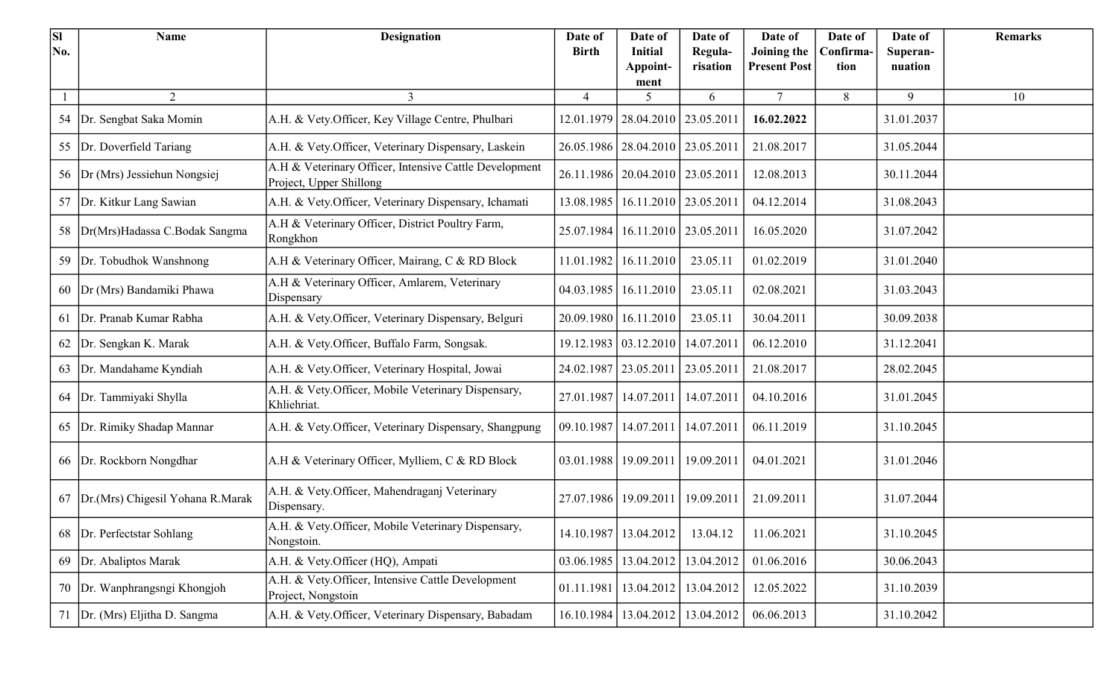| <b>SI</b> | <b>Name</b>                      | <b>Designation</b>                                                                | Date of      | Date of                              | Date of                 | Date of                            | Date of           | Date of             | <b>Remarks</b> |
|-----------|----------------------------------|-----------------------------------------------------------------------------------|--------------|--------------------------------------|-------------------------|------------------------------------|-------------------|---------------------|----------------|
| No.       |                                  |                                                                                   | <b>Birth</b> | <b>Initial</b><br>Appoint-           | Regula-<br>risation     | Joining the<br><b>Present Post</b> | Confirma-<br>tion | Superan-<br>nuation |                |
|           |                                  |                                                                                   |              | ment                                 |                         |                                    |                   |                     |                |
|           | 2                                | 3                                                                                 | 4            | 5                                    | 6                       | $\tau$                             | 8                 | 9                   | 10             |
|           | 54 Dr. Sengbat Saka Momin        | A.H. & Vety.Officer, Key Village Centre, Phulbari                                 |              | 12.01.1979   28.04.2010   23.05.2011 |                         | 16.02.2022                         |                   | 31.01.2037          |                |
| 55        | Dr. Doverfield Tariang           | A.H. & Vety.Officer, Veterinary Dispensary, Laskein                               |              | 26.05.1986   28.04.2010   23.05.2011 |                         | 21.08.2017                         |                   | 31.05.2044          |                |
|           | 56   Dr (Mrs) Jessiehun Nongsiej | A.H & Veterinary Officer, Intensive Cattle Development<br>Project, Upper Shillong |              | 26.11.1986   20.04.2010   23.05.2011 |                         | 12.08.2013                         |                   | 30.11.2044          |                |
| 57        | Dr. Kitkur Lang Sawian           | A.H. & Vety.Officer, Veterinary Dispensary, Ichamati                              | 13.08.1985   | 16.11.2010   23.05.2011              |                         | 04.12.2014                         |                   | 31.08.2043          |                |
| 58        | Dr(Mrs)Hadassa C.Bodak Sangma    | A.H & Veterinary Officer, District Poultry Farm,<br>Rongkhon                      | 25.07.1984   | 16.11.2010   23.05.2011              |                         | 16.05.2020                         |                   | 31.07.2042          |                |
| 59        | Dr. Tobudhok Wanshnong           | A.H & Veterinary Officer, Mairang, C & RD Block                                   |              | 11.01.1982   16.11.2010              | 23.05.11                | 01.02.2019                         |                   | 31.01.2040          |                |
| 60        | Dr (Mrs) Bandamiki Phawa         | A.H & Veterinary Officer, Amlarem, Veterinary<br>Dispensary                       |              | 04.03.1985   16.11.2010              | 23.05.11                | 02.08.2021                         |                   | 31.03.2043          |                |
| 61        | Dr. Pranab Kumar Rabha           | A.H. & Vety.Officer, Veterinary Dispensary, Belguri                               |              | 20.09.1980   16.11.2010              | 23.05.11                | 30.04.2011                         |                   | 30.09.2038          |                |
| 62        | Dr. Sengkan K. Marak             | A.H. & Vety.Officer, Buffalo Farm, Songsak.                                       |              | 19.12.1983   03.12.2010              | 14.07.2011              | 06.12.2010                         |                   | 31.12.2041          |                |
| 63        | Dr. Mandahame Kyndiah            | A.H. & Vety.Officer, Veterinary Hospital, Jowai                                   | 24.02.1987   | 23.05.2011                           | 23.05.2011              | 21.08.2017                         |                   | 28.02.2045          |                |
|           | 64   Dr. Tammiyaki Shylla        | A.H. & Vety.Officer, Mobile Veterinary Dispensary,<br>Khliehriat.                 | 27.01.1987   | 14.07.2011                           | 14.07.2011              | 04.10.2016                         |                   | 31.01.2045          |                |
|           | 65 Dr. Rimiky Shadap Mannar      | A.H. & Vety.Officer, Veterinary Dispensary, Shangpung                             | 09.10.1987   | 14.07.2011                           | 14.07.2011              | 06.11.2019                         |                   | 31.10.2045          |                |
|           | 66 Dr. Rockborn Nongdhar         | A.H & Veterinary Officer, Mylliem, C & RD Block                                   | 03.01.1988   | 19.09.2011                           | 19.09.2011              | 04.01.2021                         |                   | 31.01.2046          |                |
| 67        | Dr.(Mrs) Chigesil Yohana R.Marak | A.H. & Vety.Officer, Mahendraganj Veterinary<br>Dispensary.                       | 27.07.1986   | 19.09.2011                           | 19.09.2011              | 21.09.2011                         |                   | 31.07.2044          |                |
|           | Dr. Perfectstar Sohlang          | A.H. & Vety.Officer, Mobile Veterinary Dispensary,<br>Nongstoin.                  |              | 14.10.1987   13.04.2012              | 13.04.12                | 11.06.2021                         |                   | 31.10.2045          |                |
| 69        | Dr. Abaliptos Marak              | A.H. & Vety.Officer (HQ), Ampati                                                  |              | $03.06.1985$   13.04.2012            | 13.04.2012              | 01.06.2016                         |                   | 30.06.2043          |                |
| 70        | Dr. Wanphrangsngi Khongjoh       | A.H. & Vety.Officer, Intensive Cattle Development<br>Project, Nongstoin           | 01.11.1981   |                                      | 13.04.2012   13.04.2012 | 12.05.2022                         |                   | 31.10.2039          |                |
|           | 71   Dr. (Mrs) Eljitha D. Sangma | A.H. & Vety.Officer, Veterinary Dispensary, Babadam                               |              | 16.10.1984   13.04.2012   13.04.2012 |                         | 06.06.2013                         |                   | 31.10.2042          |                |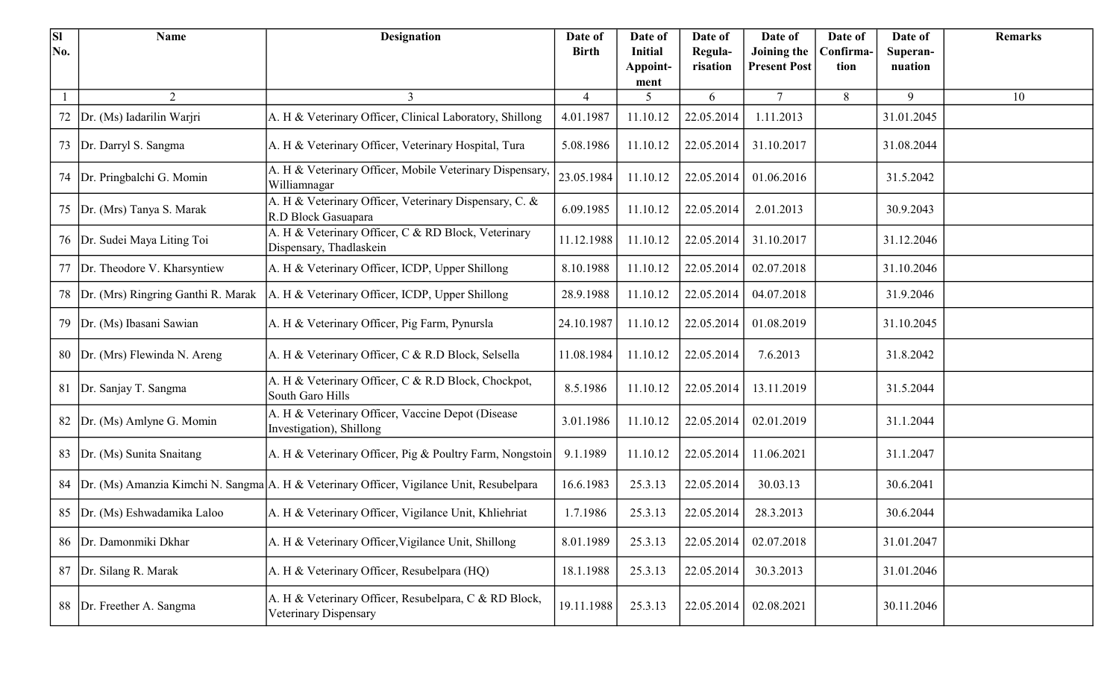| <b>SI</b> | <b>Name</b>                        | <b>Designation</b>                                                                       | Date of        | Date of                    | Date of             | Date of                            | Date of           | Date of             | <b>Remarks</b> |
|-----------|------------------------------------|------------------------------------------------------------------------------------------|----------------|----------------------------|---------------------|------------------------------------|-------------------|---------------------|----------------|
| No.       |                                    |                                                                                          | <b>Birth</b>   | <b>Initial</b><br>Appoint- | Regula-<br>risation | Joining the<br><b>Present Post</b> | Confirma-<br>tion | Superan-<br>nuation |                |
|           |                                    |                                                                                          |                | ment                       |                     |                                    |                   |                     |                |
|           | 2                                  | 3                                                                                        | $\overline{4}$ | 5                          | 6                   | $\tau$                             | 8                 | 9                   | 10             |
| 72        | Dr. (Ms) Iadarilin Warjri          | A. H & Veterinary Officer, Clinical Laboratory, Shillong                                 | 4.01.1987      | 11.10.12                   | 22.05.2014          | 1.11.2013                          |                   | 31.01.2045          |                |
| 73        | Dr. Darryl S. Sangma               | A. H & Veterinary Officer, Veterinary Hospital, Tura                                     | 5.08.1986      | 11.10.12                   | 22.05.2014          | 31.10.2017                         |                   | 31.08.2044          |                |
|           | 74   Dr. Pringbalchi G. Momin      | A. H & Veterinary Officer, Mobile Veterinary Dispensary,<br>Williamnagar                 | 23.05.1984     | 11.10.12                   | 22.05.2014          | 01.06.2016                         |                   | 31.5.2042           |                |
| 75        | Dr. (Mrs) Tanya S. Marak           | A. H & Veterinary Officer, Veterinary Dispensary, C. &<br>R.D Block Gasuapara            | 6.09.1985      | 11.10.12                   | 22.05.2014          | 2.01.2013                          |                   | 30.9.2043           |                |
|           | 76   Dr. Sudei Maya Liting Toi     | A. H & Veterinary Officer, C & RD Block, Veterinary<br>Dispensary, Thadlaskein           | 11.12.1988     | 11.10.12                   | 22.05.2014          | 31.10.2017                         |                   | 31.12.2046          |                |
| 77        | Dr. Theodore V. Kharsyntiew        | A. H & Veterinary Officer, ICDP, Upper Shillong                                          | 8.10.1988      | 11.10.12                   | 22.05.2014          | 02.07.2018                         |                   | 31.10.2046          |                |
| 78        | Dr. (Mrs) Ringring Ganthi R. Marak | A. H & Veterinary Officer, ICDP, Upper Shillong                                          | 28.9.1988      | 11.10.12                   | 22.05.2014          | 04.07.2018                         |                   | 31.9.2046           |                |
| 79        | Dr. (Ms) Ibasani Sawian            | A. H & Veterinary Officer, Pig Farm, Pynursla                                            | 24.10.1987     | 11.10.12                   | 22.05.2014          | 01.08.2019                         |                   | 31.10.2045          |                |
|           | 80 Dr. (Mrs) Flewinda N. Areng     | A. H & Veterinary Officer, C & R.D Block, Selsella                                       | 11.08.1984     | 11.10.12                   | 22.05.2014          | 7.6.2013                           |                   | 31.8.2042           |                |
| 81        | Dr. Sanjay T. Sangma               | A. H & Veterinary Officer, C & R.D Block, Chockpot,<br>South Garo Hills                  | 8.5.1986       | 11.10.12                   | 22.05.2014          | 13.11.2019                         |                   | 31.5.2044           |                |
| 82        | Dr. (Ms) Amlyne G. Momin           | A. H & Veterinary Officer, Vaccine Depot (Disease<br>Investigation), Shillong            | 3.01.1986      | 11.10.12                   | 22.05.2014          | 02.01.2019                         |                   | 31.1.2044           |                |
|           | 83   Dr. (Ms) Sunita Snaitang      | A. H & Veterinary Officer, Pig & Poultry Farm, Nongstoin                                 | 9.1.1989       | 11.10.12                   | 22.05.2014          | 11.06.2021                         |                   | 31.1.2047           |                |
| 84        |                                    | Dr. (Ms) Amanzia Kimchi N. Sangma A. H & Veterinary Officer, Vigilance Unit, Resubelpara | 16.6.1983      | 25.3.13                    | 22.05.2014          | 30.03.13                           |                   | 30.6.2041           |                |
|           | 85   Dr. (Ms) Eshwadamika Laloo    | A. H & Veterinary Officer, Vigilance Unit, Khliehriat                                    | 1.7.1986       | 25.3.13                    | 22.05.2014          | 28.3.2013                          |                   | 30.6.2044           |                |
| 86        | Dr. Damonmiki Dkhar                | A. H & Veterinary Officer, Vigilance Unit, Shillong                                      | 8.01.1989      | 25.3.13                    | 22.05.2014          | 02.07.2018                         |                   | 31.01.2047          |                |
| 87        | Dr. Silang R. Marak                | A. H & Veterinary Officer, Resubelpara (HQ)                                              | 18.1.1988      | 25.3.13                    | 22.05.2014          | 30.3.2013                          |                   | 31.01.2046          |                |
| 88        | Dr. Freether A. Sangma             | A. H & Veterinary Officer, Resubelpara, C & RD Block,<br>Veterinary Dispensary           | 19.11.1988     | 25.3.13                    | 22.05.2014          | 02.08.2021                         |                   | 30.11.2046          |                |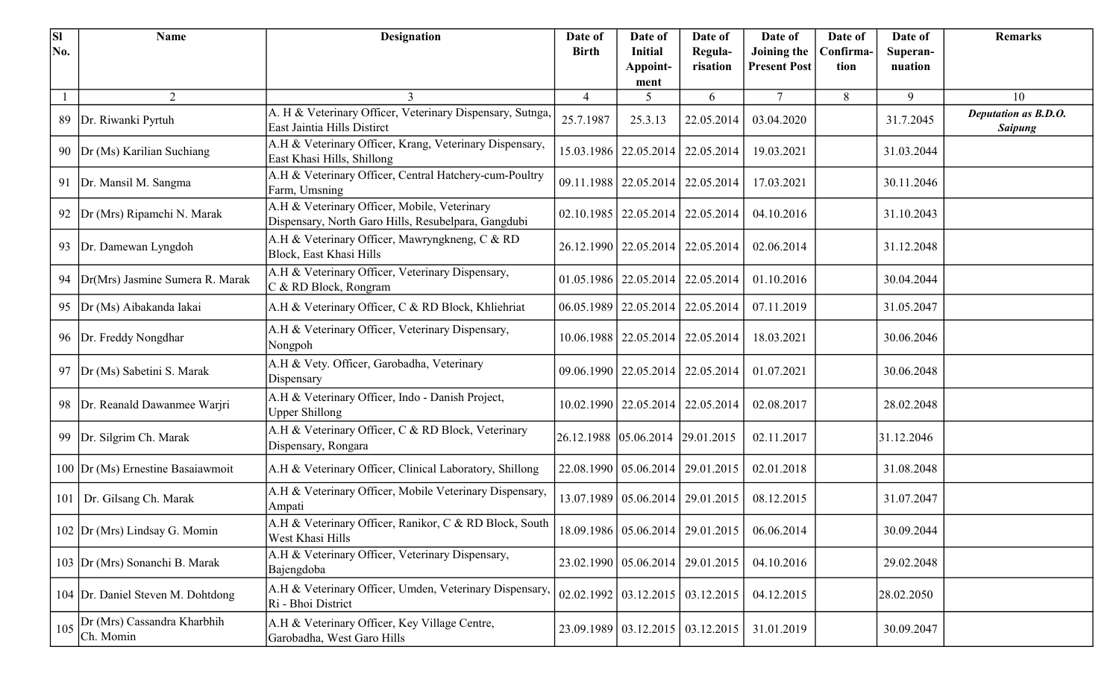| <b>SI</b> | <b>Name</b>                              | <b>Designation</b>                                                                                  | Date of        | Date of                                    | Date of             | Date of                            | Date of          | Date of             | <b>Remarks</b>                         |
|-----------|------------------------------------------|-----------------------------------------------------------------------------------------------------|----------------|--------------------------------------------|---------------------|------------------------------------|------------------|---------------------|----------------------------------------|
| No.       |                                          |                                                                                                     | <b>Birth</b>   | Initial                                    | Regula-<br>risation | Joining the<br><b>Present Post</b> | Confirma<br>tion | Superan-<br>nuation |                                        |
|           |                                          |                                                                                                     |                | Appoint-<br>ment                           |                     |                                    |                  |                     |                                        |
|           | 2                                        | 3                                                                                                   | $\overline{4}$ | 5                                          | 6                   | $\tau$                             | 8                | 9                   | 10                                     |
|           | 89   Dr. Riwanki Pyrtuh                  | A. H & Veterinary Officer, Veterinary Dispensary, Sutnga,<br>East Jaintia Hills Distirct            | 25.7.1987      | 25.3.13                                    | 22.05.2014          | 03.04.2020                         |                  | 31.7.2045           | Deputation as B.D.O.<br><b>Saipung</b> |
|           | 90   Dr (Ms) Karilian Suchiang           | A.H & Veterinary Officer, Krang, Veterinary Dispensary,<br>East Khasi Hills, Shillong               |                | 15.03.1986   22.05.2014   22.05.2014       |                     | 19.03.2021                         |                  | 31.03.2044          |                                        |
|           | 91 Dr. Mansil M. Sangma                  | A.H & Veterinary Officer, Central Hatchery-cum-Poultry<br>Farm, Umsning                             |                | 09.11.1988   22.05.2014   22.05.2014       |                     | 17.03.2021                         |                  | 30.11.2046          |                                        |
|           | 92   Dr (Mrs) Ripamchi N. Marak          | A.H & Veterinary Officer, Mobile, Veterinary<br>Dispensary, North Garo Hills, Resubelpara, Gangdubi |                | $02.10.1985$   22.05.2014   22.05.2014     |                     | 04.10.2016                         |                  | 31.10.2043          |                                        |
|           | 93   Dr. Damewan Lyngdoh                 | A.H & Veterinary Officer, Mawryngkneng, C & RD<br>Block, East Khasi Hills                           |                | 26.12.1990   22.05.2014   22.05.2014       |                     | 02.06.2014                         |                  | 31.12.2048          |                                        |
|           | 94   Dr(Mrs) Jasmine Sumera R. Marak     | A.H & Veterinary Officer, Veterinary Dispensary,<br>C & RD Block, Rongram                           |                | $01.05.1986$   22.05.2014   22.05.2014     |                     | 01.10.2016                         |                  | 30.04.2044          |                                        |
|           | 95   Dr (Ms) Aibakanda Iakai             | A.H & Veterinary Officer, C & RD Block, Khliehriat                                                  |                | $06.05.1989$   22.05.2014   22.05.2014     |                     | 07.11.2019                         |                  | 31.05.2047          |                                        |
|           | 96 Dr. Freddy Nongdhar                   | A.H & Veterinary Officer, Veterinary Dispensary,<br>Nongpoh                                         |                | 10.06.1988   22.05.2014   22.05.2014       |                     | 18.03.2021                         |                  | 30.06.2046          |                                        |
|           | 97 Dr (Ms) Sabetini S. Marak             | A.H & Vety. Officer, Garobadha, Veterinary<br>Dispensary                                            |                | 09.06.1990   22.05.2014   22.05.2014       |                     | 01.07.2021                         |                  | 30.06.2048          |                                        |
|           | 98 Dr. Reanald Dawanmee Warjri           | A.H & Veterinary Officer, Indo - Danish Project,<br><b>Upper Shillong</b>                           |                | 10.02.1990   22.05.2014   22.05.2014       |                     | 02.08.2017                         |                  | 28.02.2048          |                                        |
|           | 99   Dr. Silgrim Ch. Marak               | A.H & Veterinary Officer, C & RD Block, Veterinary<br>Dispensary, Rongara                           |                | 26.12.1988 05.06.2014 29.01.2015           |                     | 02.11.2017                         |                  | 31.12.2046          |                                        |
|           | 100 Dr (Ms) Ernestine Basaiawmoit        | A.H & Veterinary Officer, Clinical Laboratory, Shillong                                             |                | 22.08.1990   05.06.2014   29.01.2015       |                     | 02.01.2018                         |                  | 31.08.2048          |                                        |
|           | 101   Dr. Gilsang Ch. Marak              | A.H & Veterinary Officer, Mobile Veterinary Dispensary,<br>Ampati                                   |                | 13.07.1989   05.06.2014   29.01.2015       |                     | 08.12.2015                         |                  | 31.07.2047          |                                        |
|           | 102 Dr (Mrs) Lindsay G. Momin            | A.H & Veterinary Officer, Ranikor, C & RD Block, South<br>West Khasi Hills                          |                | 18.09.1986   05.06.2014   29.01.2015       |                     | 06.06.2014                         |                  | 30.09.2044          |                                        |
|           | 103 Dr (Mrs) Sonanchi B. Marak           | A.H & Veterinary Officer, Veterinary Dispensary,<br>Bajengdoba                                      |                | 23.02.1990   05.06.2014   29.01.2015       |                     | 04.10.2016                         |                  | 29.02.2048          |                                        |
|           | 104 Dr. Daniel Steven M. Dohtdong        | A.H & Veterinary Officer, Umden, Veterinary Dispensary,<br>Ri - Bhoi District                       |                | $02.02.1992$   $03.12.2015$   $03.12.2015$ |                     | 04.12.2015                         |                  | 28.02.2050          |                                        |
| 105       | Dr (Mrs) Cassandra Kharbhih<br>Ch. Momin | A.H & Veterinary Officer, Key Village Centre,<br>Garobadha, West Garo Hills                         |                | 23.09.1989   03.12.2015   03.12.2015       |                     | 31.01.2019                         |                  | 30.09.2047          |                                        |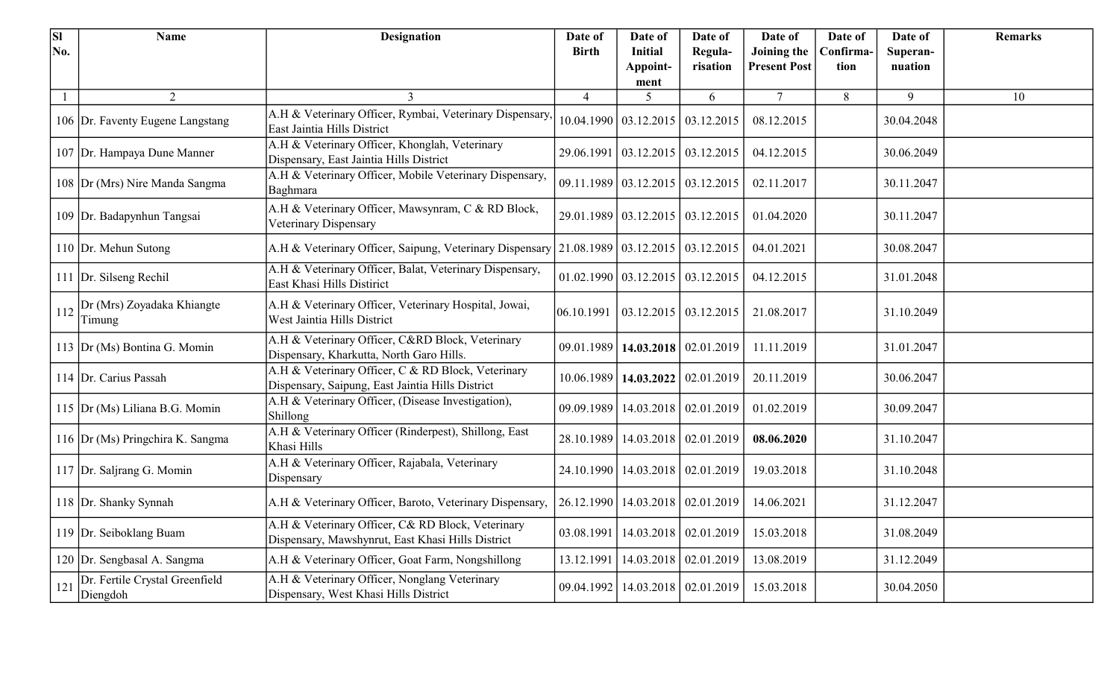| $\overline{\mathbf{S}}$ | <b>Name</b>                                | <b>Designation</b>                                                                                     | Date of        | Date of                                      | Date of                 | Date of             | Date of   | Date of    | <b>Remarks</b> |
|-------------------------|--------------------------------------------|--------------------------------------------------------------------------------------------------------|----------------|----------------------------------------------|-------------------------|---------------------|-----------|------------|----------------|
| No.                     |                                            |                                                                                                        | <b>Birth</b>   | <b>Initial</b>                               | Regula-                 | Joining the         | Confirma- | Superan-   |                |
|                         |                                            |                                                                                                        |                | Appoint-<br>ment                             | risation                | <b>Present Post</b> | tion      | nuation    |                |
|                         | $\overline{2}$                             | 3                                                                                                      | $\overline{4}$ | 5                                            | 6                       | $\tau$              | 8         | 9          | 10             |
|                         | 106 Dr. Faventy Eugene Langstang           | A.H & Veterinary Officer, Rymbai, Veterinary Dispensary<br>East Jaintia Hills District                 |                | $10.04.1990 \mid 03.12.2015 \mid 03.12.2015$ |                         | 08.12.2015          |           | 30.04.2048 |                |
|                         | 107 Dr. Hampaya Dune Manner                | A.H & Veterinary Officer, Khonglah, Veterinary<br>Dispensary, East Jaintia Hills District              |                | 29.06.1991   03.12.2015   03.12.2015         |                         | 04.12.2015          |           | 30.06.2049 |                |
|                         | 108 Dr (Mrs) Nire Manda Sangma             | A.H & Veterinary Officer, Mobile Veterinary Dispensary,<br>Baghmara                                    |                | 09.11.1989 03.12.2015 03.12.2015             |                         | 02.11.2017          |           | 30.11.2047 |                |
|                         | 109 Dr. Badapynhun Tangsai                 | A.H & Veterinary Officer, Mawsynram, C & RD Block,<br>Veterinary Dispensary                            |                | 29.01.1989 03.12.2015 03.12.2015             |                         | 01.04.2020          |           | 30.11.2047 |                |
|                         | 110 Dr. Mehun Sutong                       | A.H & Veterinary Officer, Saipung, Veterinary Dispensary                                               |                | $21.08.1989 \mid 03.12.2015 \mid 03.12.2015$ |                         | 04.01.2021          |           | 30.08.2047 |                |
|                         | 111 Dr. Silseng Rechil                     | A.H & Veterinary Officer, Balat, Veterinary Dispensary,<br>East Khasi Hills Distirict                  |                | $01.02.1990$   $03.12.2015$   $03.12.2015$   |                         | 04.12.2015          |           | 31.01.2048 |                |
| 112                     | Dr (Mrs) Zoyadaka Khiangte<br>Timung       | A.H & Veterinary Officer, Veterinary Hospital, Jowai,<br>West Jaintia Hills District                   | 06.10.1991     | $\vert$ 03.12.2015 $\vert$ 03.12.2015        |                         | 21.08.2017          |           | 31.10.2049 |                |
|                         | 113 Dr (Ms) Bontina G. Momin               | A.H & Veterinary Officer, C&RD Block, Veterinary<br>Dispensary, Kharkutta, North Garo Hills.           | 09.01.1989     |                                              | 14.03.2018 02.01.2019   | 11.11.2019          |           | 31.01.2047 |                |
|                         | 114 Dr. Carius Passah                      | A.H & Veterinary Officer, C & RD Block, Veterinary<br>Dispensary, Saipung, East Jaintia Hills District | 10.06.1989     |                                              | 14.03.2022   02.01.2019 | 20.11.2019          |           | 30.06.2047 |                |
|                         | 115 Dr (Ms) Liliana B.G. Momin             | A.H & Veterinary Officer, (Disease Investigation),<br>Shillong                                         |                | 09.09.1989   14.03.2018   02.01.2019         |                         | 01.02.2019          |           | 30.09.2047 |                |
|                         | 116 Dr (Ms) Pringchira K. Sangma           | A.H & Veterinary Officer (Rinderpest), Shillong, East<br>Khasi Hills                                   |                | 28.10.1989   14.03.2018   02.01.2019         |                         | 08.06.2020          |           | 31.10.2047 |                |
|                         | 117 Dr. Saljrang G. Momin                  | A.H & Veterinary Officer, Rajabala, Veterinary<br>Dispensary                                           |                | 24.10.1990   14.03.2018   02.01.2019         |                         | 19.03.2018          |           | 31.10.2048 |                |
|                         | 118 Dr. Shanky Synnah                      | A.H & Veterinary Officer, Baroto, Veterinary Dispensary,                                               |                | 26.12.1990   14.03.2018   02.01.2019         |                         | 14.06.2021          |           | 31.12.2047 |                |
|                         | 119 Dr. Seiboklang Buam                    | A.H & Veterinary Officer, C& RD Block, Veterinary<br>Dispensary, Mawshynrut, East Khasi Hills District |                | 03.08.1991   14.03.2018   02.01.2019         |                         | 15.03.2018          |           | 31.08.2049 |                |
|                         | 120 Dr. Sengbasal A. Sangma                | A.H & Veterinary Officer, Goat Farm, Nongshillong                                                      |                | 13.12.1991   14.03.2018   02.01.2019         |                         | 13.08.2019          |           | 31.12.2049 |                |
| 121                     | Dr. Fertile Crystal Greenfield<br>Diengdoh | A.H & Veterinary Officer, Nonglang Veterinary<br>Dispensary, West Khasi Hills District                 |                | 09.04.1992   14.03.2018   02.01.2019         |                         | 15.03.2018          |           | 30.04.2050 |                |